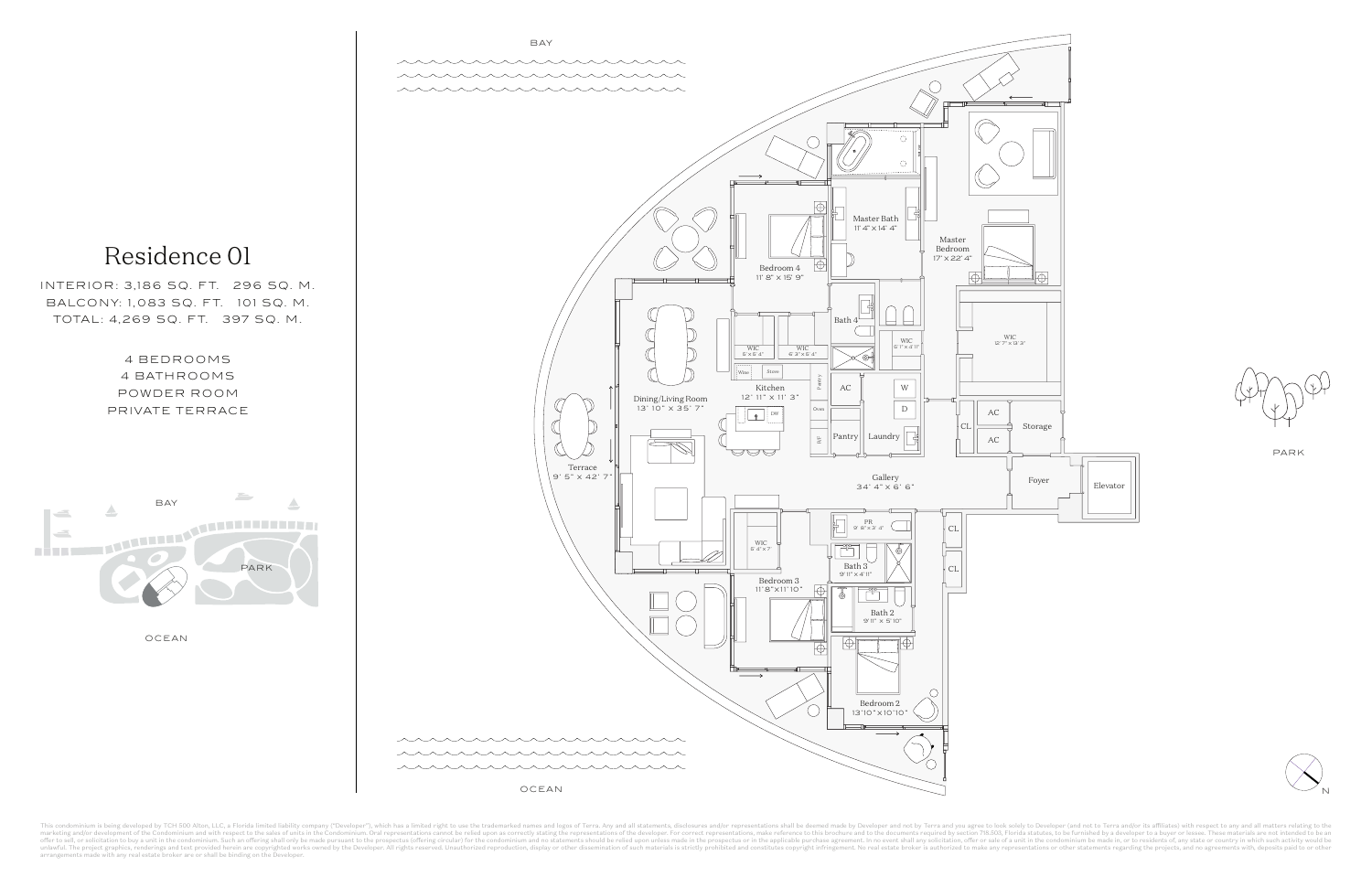

This condominium is being developed by TCH 500 Alton, LLC, a Florida limited liability company ("Developer"), which has a limited right to use the trademarked names and logos of Terra. Any and all statements, disclosures a marketing and/or development of the Condominium and with respect to the sales of units in the Condominium. Oral reprosentations cannot be relied upon as correctly stating the representations, make reference to this brochur unlawful. The project graphics, renderings and text provided herein are copyrighted works owned by the Developer. All rights reserved. Unauthorized reproduction, display or other dissemination of such materials is strictly



OCEAN





PARK

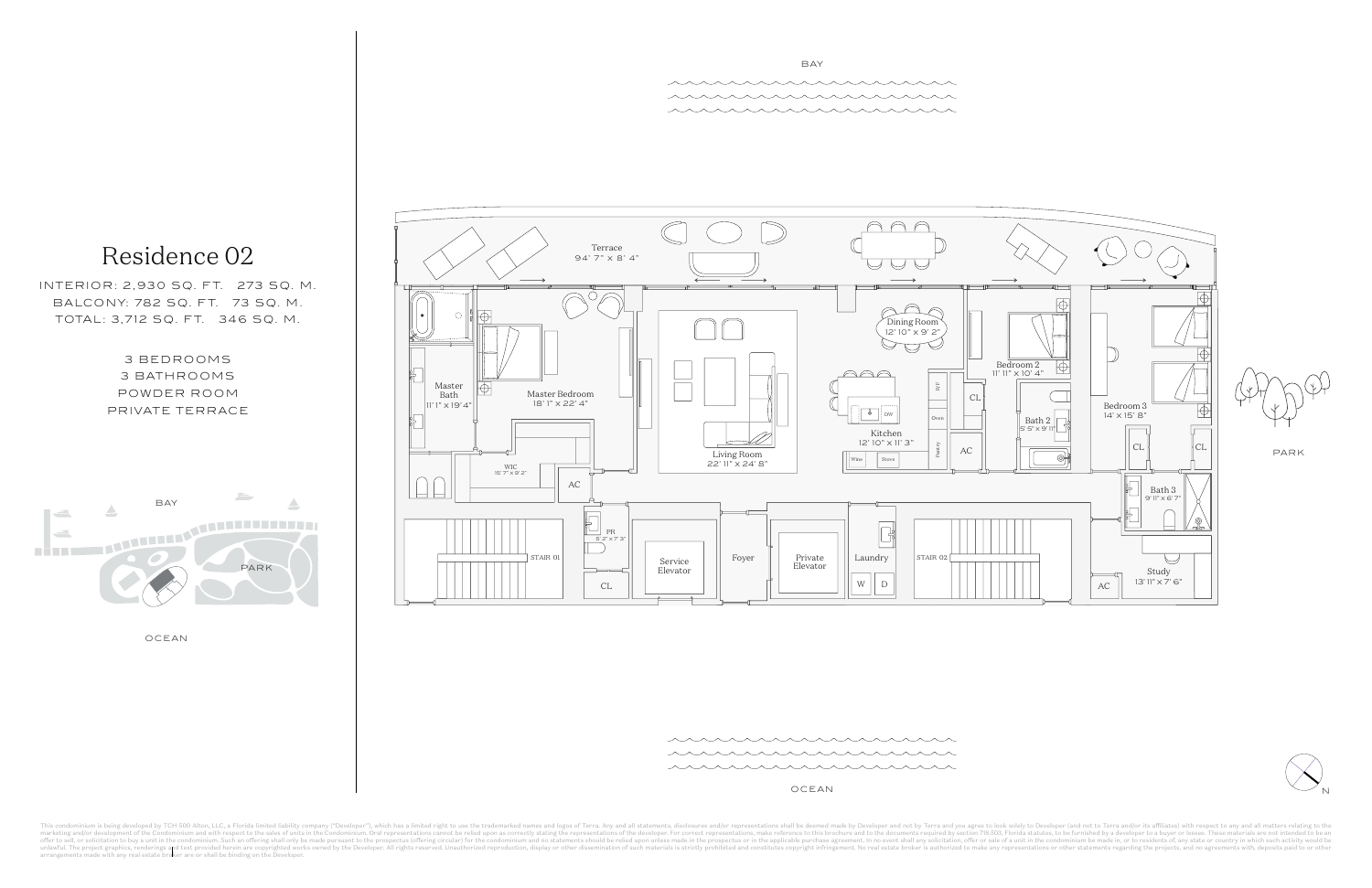

ススススススス uu uu uu uu 

OCEAN

This condominium is being developed by TCH 500 Alton, LLC, a Florida limited liability company ("Developer"), which has a limited right to use the trademarked names and logos of Terra. Any and all statements, disclosures a marketing and/or development of the Condominium and with respect to the sales of units in the Condominium. Oral reprosentations cannot be relied upon as correctly stating the representations, make reference to this brochur unlawful. The project graphics, renderings and text provided herein are copyrighted works owned by the Developer. All rights reserved. Unauthorized reproduction, display or other dissemination of such materials is strictly

OCEAN



3 BEDROOMS 3 BATHROOMS POWDER ROOM PRIVATE TERRACE



FIVE PARK / UNIT V

INTERIOR: 2,930 SQ. FT. 273 SQ. M. BALCONY: 782 SQ. FT. 73 SQ. M. TOTAL: 3,712 SQ. FT. 346 SQ. M.



\* \* \* \* \* \* \* \* \* \* \* \* \* \* \* \* \* in in the second control and control to the second control to the second control of the second control to the

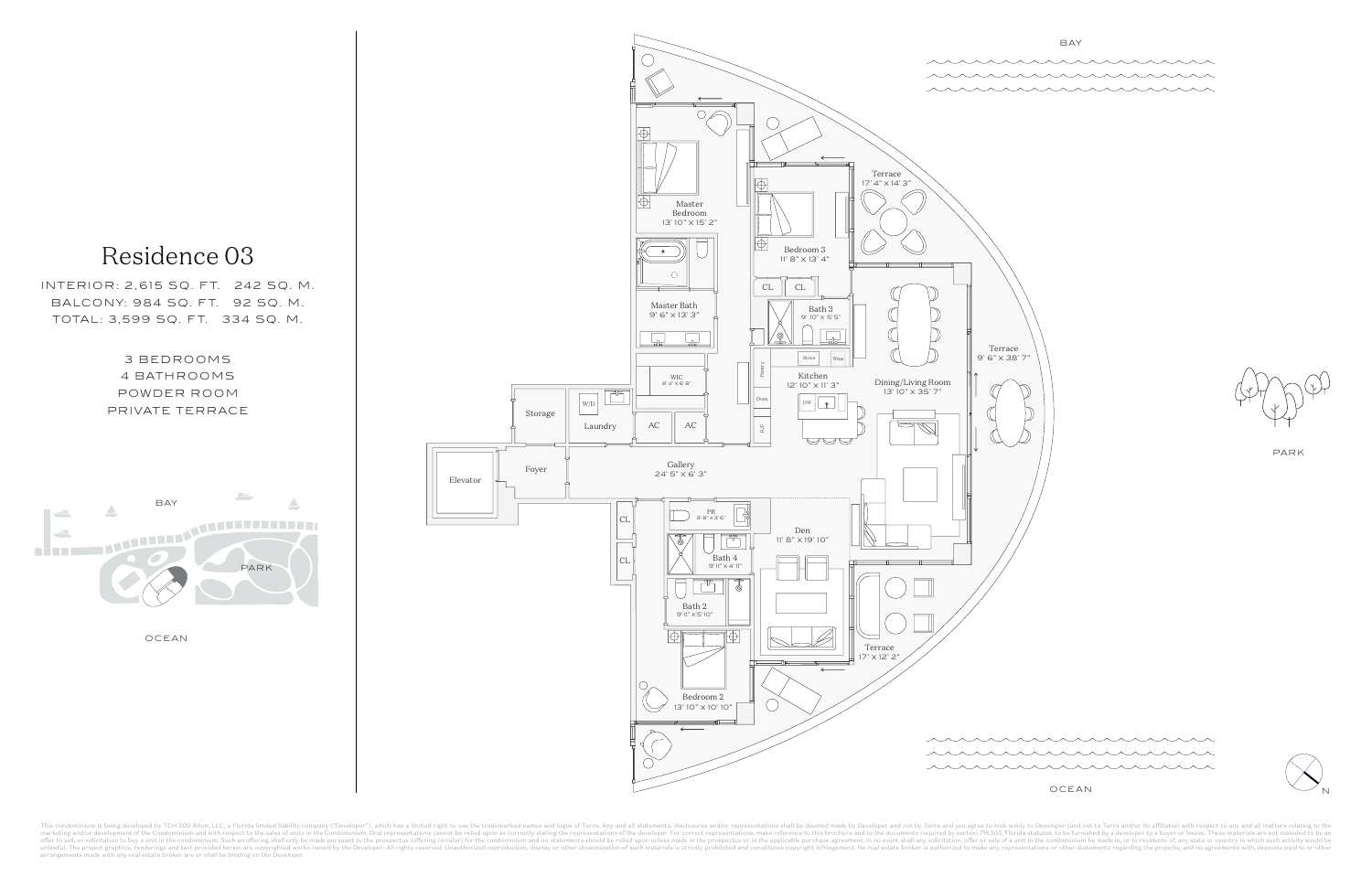

This condominium is being developed by TCH 500 Alton, LLC, a Florida limited liability company ("Developer"), which has a limited right to use the trademarked names and logos of Terra. Any and all statements, disclosures a marketing and/or development of the Condominium and with respect to the sales of units in the Condominium. Oral reprosentations cannot be relied upon as correctly stating the representations, make reference to this brochur unlawful. The project graphics, renderings and text provided herein are copyrighted works owned by the Developer. All rights reserved. Unauthorized reproduction, display or other dissemination of such materials is strictly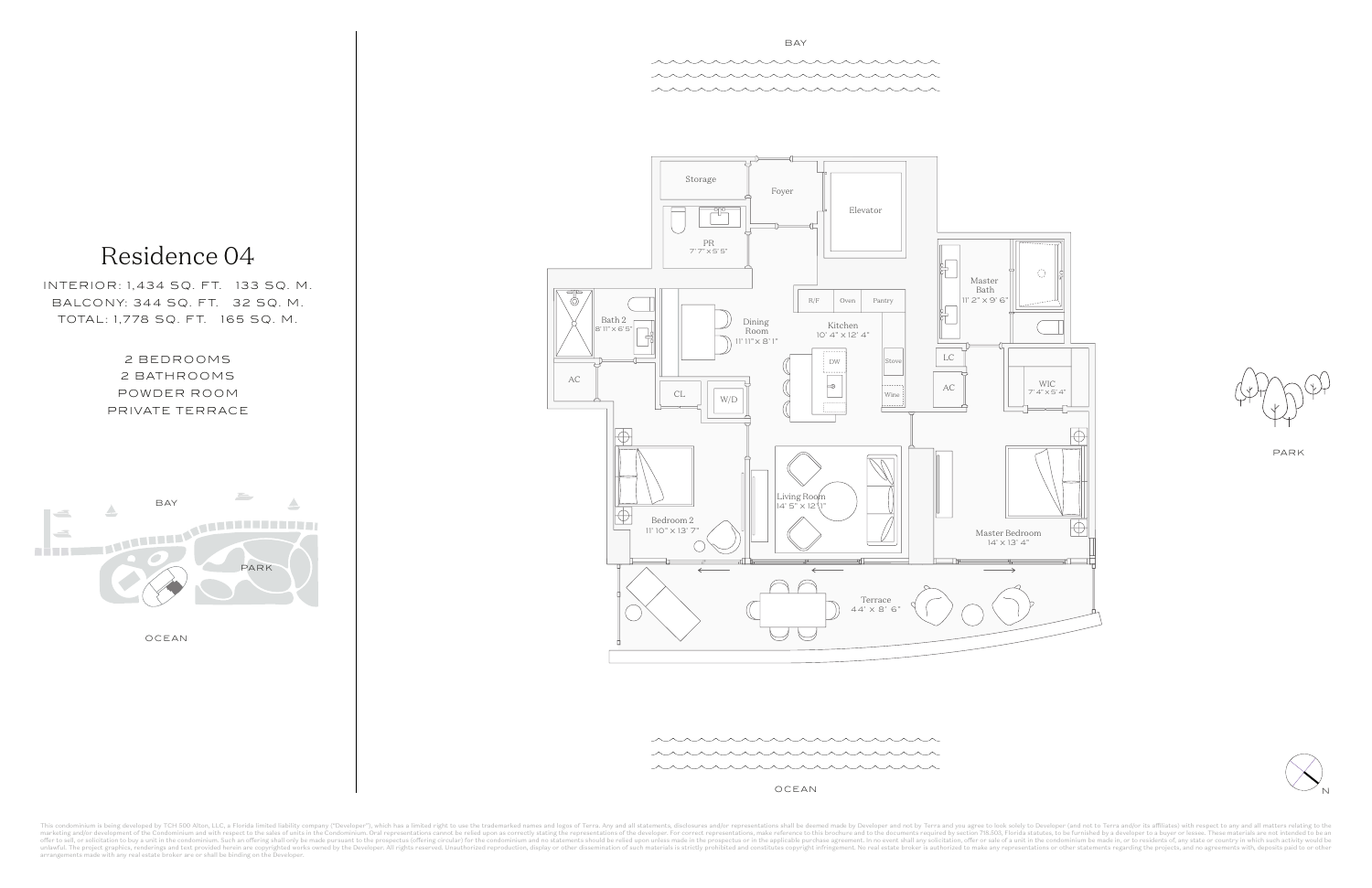2 BEDROOMS 2 BATHROOMS POWDER ROOM PRIVATE TERRACE



INTERIOR: 1,434 SQ. FT. 133 SQ. M. BALCONY: 344 SQ. FT. 32 SQ. M. TOTAL: 1,778 SQ. FT. 165 SQ. M.

OCEAN



![](_page_3_Figure_10.jpeg)

PARK

![](_page_3_Figure_0.jpeg)

OCEAN

This condominium is being developed by TCH 500 Alton, LLC, a Florida limited liability company ("Developer"), which has a limited right to use the trademarked names and logos of Terra. Any and all statements, disclosures a marketing and/or development of the Condominium and with respect to the sales of units in the Condominium. Oral reprosentations cannot be relied upon as correctly stating the representations, make reference to this brochur unlawful. The project graphics, renderings and text provided herein are copyrighted works owned by the Developer. All rights reserved. Unauthorized reproduction, display or other dissemination of such materials is strictly

![](_page_3_Figure_6.jpeg)

\*\*\*\*\*\*\*\*\*\*\*\*\*\*\*\*\* in a communication de la communicación de la communicación de la comunicación de la comunicación de la comunic

![](_page_3_Figure_12.jpeg)